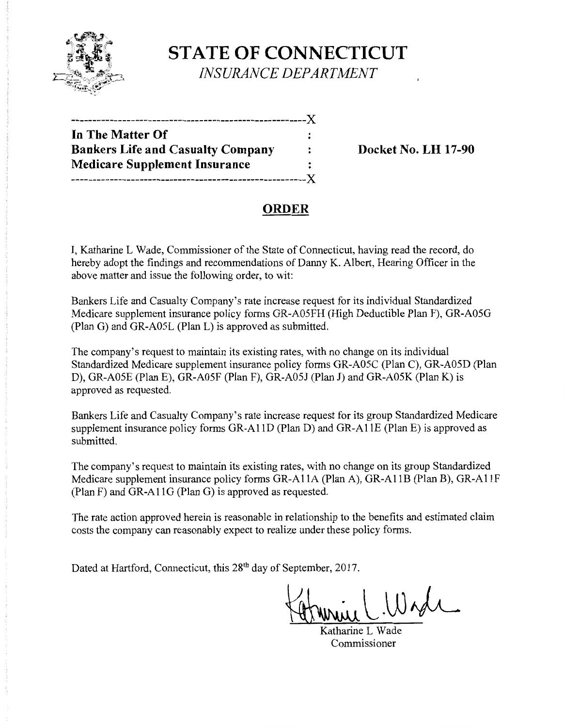

**STATE OF CONNECTICUT**  *INSURANCE DEPARTMENT* 

| In The Matter Of                         |                      |
|------------------------------------------|----------------------|
| <b>Bankers Life and Casualty Company</b> | $\ddot{\phantom{a}}$ |
| Medicare Supplement Insurance            |                      |
|                                          |                      |

**Banker No. LH 17-90** 

# **ORDER**

I, Katharine L Wade, Commissioner of the State of Connecticut, having read the record, do hereby adopt the findings and recommendations of Danny K. Albert, Hearing Officer in the above matter and issue the following order, to wit:

Bankers Life and Casualty Company's rate increase request for its individual Standardized Medicare supplement insurance policy forms GR-A05FH (High Deductible Plan F), GR-A05G (Plan G) and GR-A05L (Plan L) is approved as submitted.

The company's request to maintain its existing rates, with no change on its individual Standardized Medicare supplement insurance policy forms GR-A05C (Plan C), GR-A05D (Plan D), GR-A05E (Plan E), GR-A05F (Plan F), GR-A05J (Plan J) and GR-A05K (PlanK) is approved as requested.

Bankers Life and Casualty Company's rate increase request for its group Standardized Medicare supplement insurance policy forms GR-AllD (Plan D) and GR-AllE (Plan E) is approved as submitted.

The company's request to maintain its existing rates, with no change on its group Standardized Medicare supplement insurance policy forms GR-AllA (Plan A), GR-AllB (Plan B), GR-AllF (Plan F) and GR-All G (Plan G) is approved as requested.

The rate action approved herein is reasonable in relationship to the benefits and estimated claim costs the company can reasonably expect to realize under these policy forms.

Dated at Hartford, Connecticut, this 28<sup>th</sup> day of September, 2017.

 $U$ 

Katharine L Wade **Commissioner**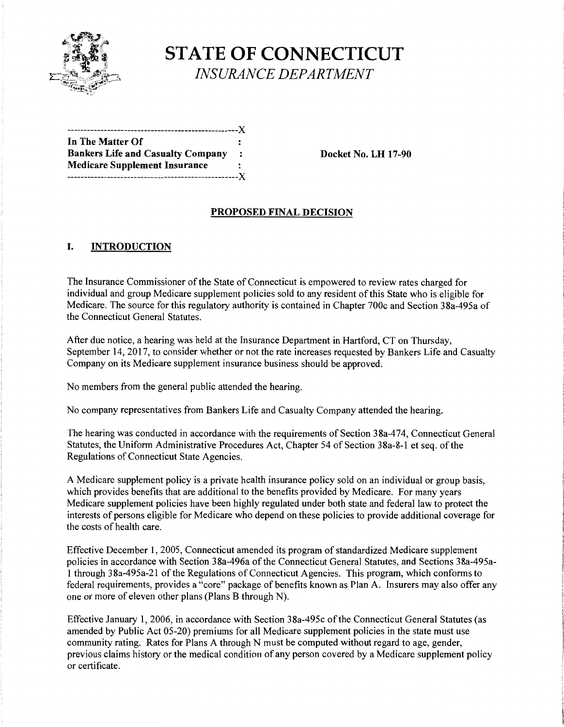

**STATE OF CONNECTICUT**  *INSURANCE DEPARTMENT* 

| In The Matter Of                         |         |
|------------------------------------------|---------|
| <b>Bankers Life and Casualty Company</b> | $\cdot$ |
| <b>Medicare Supplement Insurance</b>     |         |
| .-------------------------------X        |         |

**Bocket No. LH 17-90** 

#### **PROPOSED FINAL DECISION**

## **I. INTRODUCTION**

The Insurance Commissioner of the State of Connecticut is empowered to review rates charged for individual and group Medicare supplement policies sold to any resident of this State who is eligible for Medicare. The source for this regulatory authority is contained in Chapter 700c and Section 38a-495a of the Connecticut General Statutes.

After due notice, a hearing was held at the Insurance Department in Hartford, CT on Thursday, September 14, 2017, to consider whether or not the rate increases requested by Bankers Life and Casualty Company on its Medicare supplement insurance business should be approved.

No members from the general public attended the hearing.

No company representatives from Bankers Life and Casualty Company attended the hearing.

The hearing was conducted in accordance with the requirements of Section 38a-474, Connecticut General Statutes, the Uniform Administrative Procedures Act, Chapter 54 of Section 38a-8-1 et seq. of the Regulations of Connecticut State Agencies.

A Medicare supplement policy is a private health insurance policy sold on an individual or group basis, which provides benefits that are additional to the benefits provided by Medicare. For many years Medicare supplement policies have been highly regulated under both state and federal law to protect the interests of persons eligible for Medicare who depend on these policies to provide additional coverage for the costs of health care.

Effective December 1, 2005, Connecticut amended its program of standardized Medicare supplement policies in accordance with Section 38a-496a of the Connecticut General Statutes, and Sections 38a-495a-1 through 38a-495a-21 ofthe Regulations of Connecticut Agencies. This program, which conforms to federal requirements, provides a "core" package of benefits known as Plan A. Insurers may also offer any one or more of eleven other plans (Plans B through N).

Effective January 1, 2006, in accordance with Section 38a-495c of the Connecticut General Statutes (as amended by Public Act 05-20) premiums for all Medicare supplement policies in the state must use community rating. Rates for Plans A through N must be computed without regard to age, gender, previous claims history or the medical condition of any person covered by a Medicare supplement policy or certificate.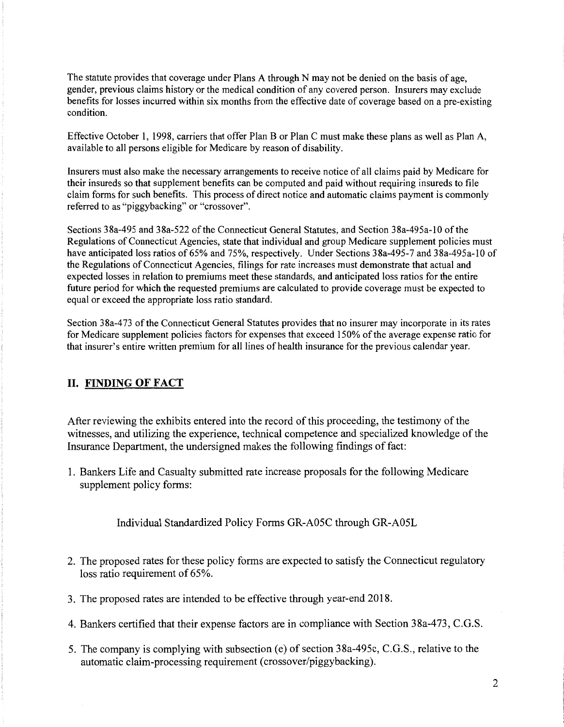The statute provides that coverage under Plans A through N may not be denied on the basis of age, gender, previous claims history or the medical condition of any covered person. Insurers may exclude benefits for losses incurred within six months from the effective date of coverage based on a pre-existing condition.

Effective October 1, 1998, carriers that offer Plan B or Plan C must make these plans as well as Plan A, available to all persons eligible for Medicare by reason of disability.

Insurers must also make the necessary arrangements to receive notice of all claims paid by Medicare for their insureds so that supplement benefits can be computed and paid without requiring insureds to file claim forms for such benefits. This process of direct notice and automatic claims payment is commonly referred to as "piggybacking" or "crossover".

Sections 38a-495 and 38a-522 of the Connecticut General Statutes, and Section 38a-495a-10 of the Regulations of Connecticut Agencies, state that individual and group Medicare supplement policies must have anticipated loss ratios of 65% and 75%, respectively. Under Sections 38a-495-7 and 38a-495a-10 of the Regulations of Connecticut Agencies, filings for rate increases must demonstrate that actual and expected losses in relation to premiums meet these standards, and anticipated loss ratios for the entire future period for which the requested premiums are calculated to provide coverage must be expected to equal or exceed the appropriate loss ratio standard.

Section 38a-473 of the Connecticut General Statutes provides that no insurer may incorporate in its rates for Medicare supplement policies factors for expenses that exceed 150% of the average expense ratio for that insurer's entire written premium for all lines of health insurance for the previous calendar year.

# **II. FINDING OF FACT**

After reviewing the exhibits entered into the record of this proceeding, the testimony of the witnesses, and utilizing the experience, technical competence and specialized knowledge of the Insurance Department, the undersigned makes the following findings of fact:

1. Bankers Life and Casualty submitted rate increase proposals for the following Medicare supplement policy forms:

Individual Standardized Policy Forms GR-A05C through GR-A05L

- 2. The proposed rates for these policy forms are expected to satisfy the Connecticut regulatory loss ratio requirement of 65%.
- 3. The proposed rates are intended to be effective through year-end 2018.
- 4. Bankers certified that their expense factors are in compliance with Section 38a-473, C.G.S.
- 5. The company is complying with subsection (e) of section 38a-495c, C.G.S., relative to the automatic claim-processing requirement (crossover/piggybacking).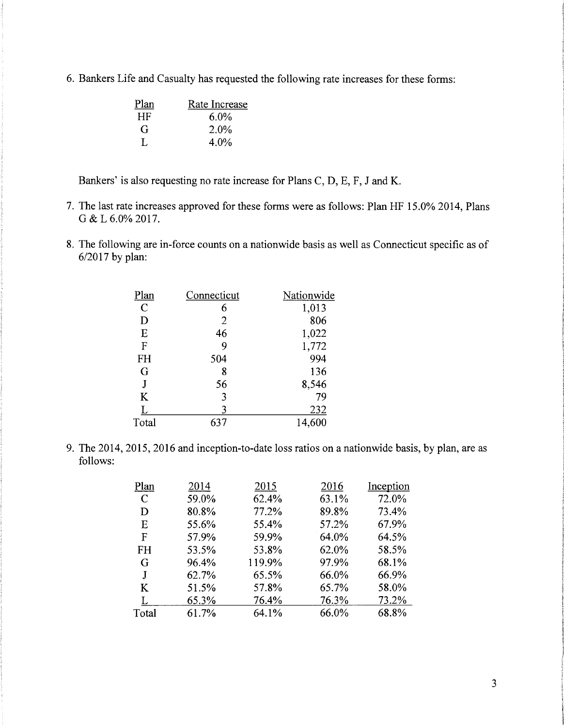6. Bankers Life and Casualty has requested the following rate increases for these forms:

| Plan | Rate Increase |
|------|---------------|
| HF   | $6.0\%$       |
| G    | 2.0%          |
| L    | $4.0\%$       |

Bankers' is also requesting no rate increase for Plans C, D, E, F, J and K.

- 7. The last rate increases approved for these forms were as follows: Plan HF 15.0% 2014, Plans G&L6.0%2017.
- 8. The following are in-force counts on a nationwide basis as well as Connecticut specific as of 6/2017 by plan:

| Plan          | Connecticut    | Nationwide |
|---------------|----------------|------------|
| $\mathcal{C}$ | 6              | 1,013      |
| D             | $\overline{2}$ | 806        |
| E             | 46             | 1,022      |
| F             | 9              | 1,772      |
| FH            | 504            | 994        |
| G             | 8              | 136        |
| $\mathbf{J}$  | 56             | 8,546      |
| K             | 3              | 79         |
| L             |                | 232        |
| Total         | 637            | 14,600     |
|               |                |            |

9. The 2014, 2015, 2016 and inception-to-date loss ratios on a nationwide basis, by plan, are as follows:

| Plan          | 2014  | 2015   | 2016  | Inception |
|---------------|-------|--------|-------|-----------|
| $\mathcal{C}$ | 59.0% | 62.4%  | 63.1% | 72.0%     |
| D             | 80.8% | 77.2%  | 89.8% | 73.4%     |
| Ε             | 55.6% | 55.4%  | 57.2% | 67.9%     |
| F             | 57.9% | 59.9%  | 64.0% | 64.5%     |
| <b>FH</b>     | 53.5% | 53.8%  | 62.0% | 58.5%     |
| G             | 96.4% | 119.9% | 97.9% | 68.1%     |
| J             | 62.7% | 65.5%  | 66.0% | 66.9%     |
| K             | 51.5% | 57.8%  | 65.7% | 58.0%     |
| L             | 65.3% | 76.4%  | 76.3% | 73.2%     |
| Total         | 61.7% | 64.1%  | 66.0% | 68.8%     |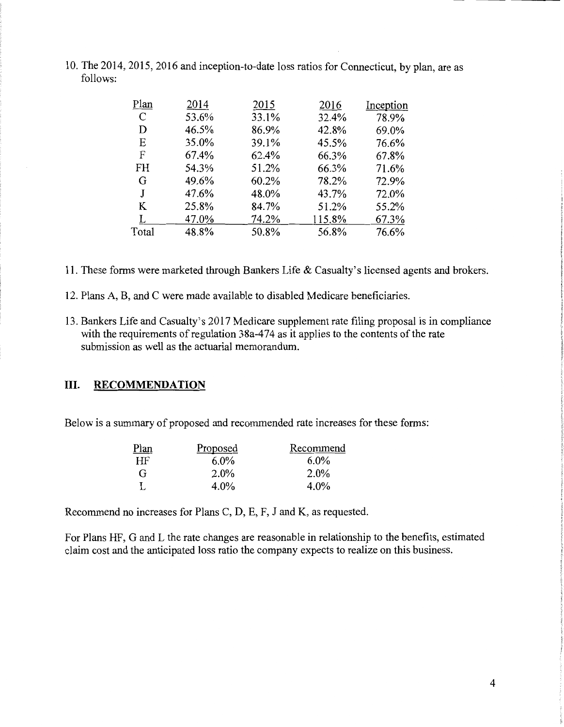10. The 2014, 2015, 2016 and inception-to-date loss ratios for Connecticut, by plan, are as follows:

| Plan          | 2014  | 2015  | 2016   | Inception |
|---------------|-------|-------|--------|-----------|
| $\mathcal{C}$ | 53.6% | 33.1% | 32.4%  | 78.9%     |
| D             | 46.5% | 86.9% | 42.8%  | 69.0%     |
| E             | 35.0% | 39.1% | 45.5%  | 76.6%     |
| F             | 67.4% | 62.4% | 66.3%  | 67.8%     |
| <b>FH</b>     | 54.3% | 51.2% | 66.3%  | 71.6%     |
| G             | 49.6% | 60.2% | 78.2%  | 72.9%     |
| J             | 47.6% | 48.0% | 43.7%  | 72.0%     |
| K             | 25.8% | 84.7% | 51.2%  | 55.2%     |
|               | 47.0% | 74.2% | 115.8% | 67.3%     |
| Total         | 48.8% | 50.8% | 56.8%  | 76.6%     |

- 11. These forms were marketed through Bankers Life & Casualty's licensed agents and brokers.
- 12. Plans A, B, and C were made available to disabled Medicare beneficiaries.
- 13. Bankers Life and Casualty's 2017 Medicare supplement rate filing proposal is in compliance with the requirements of regulation  $38a-474$  as it applies to the contents of the rate submission as well as the actuarial memorandum.

## III. **RECOMMENDATION**

Below is a summary of proposed and recommended rate increases for these forms:

| Plan | Proposed | Recommend |
|------|----------|-----------|
| HF   | $6.0\%$  | $6.0\%$   |
| G    | 2.0%     | 2.0%      |
|      | $4.0\%$  | $4.0\%$   |

Recommend no increases for Plans C, D, E, F, J and K, as requested.

For Plans HF, G and L the rate changes are reasonable in relationship to the benefits, estimated claim cost and the anticipated loss ratio the company expects to realize on this business.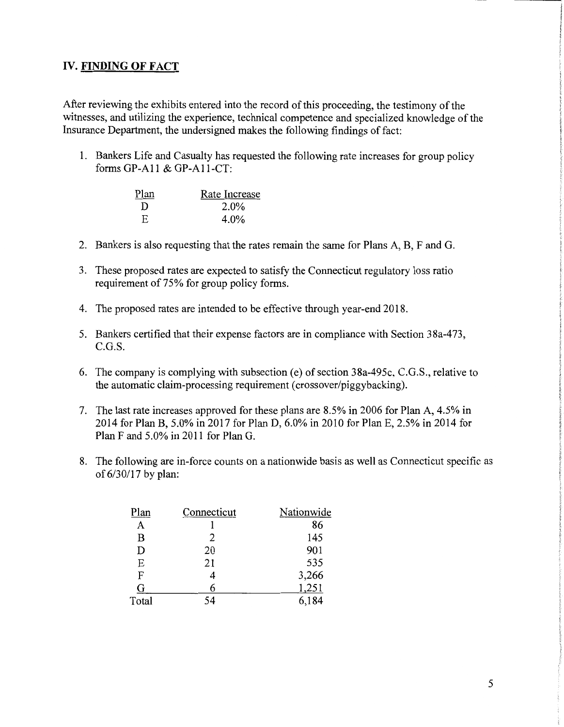# IV. **FINDING OF FACT**

After reviewing the exhibits entered into the record of this proceeding, the testimony of the witnesses, and utilizing the experience, technical competence and specialized knowledge of the Insurance Department, the undersigned makes the following findings of fact:

1. Bankers Life and Casualty has requested the following rate increases for group policy forms GP-All & GP-All-CT:

| Plan | Rate Increase |
|------|---------------|
| D    | 2.0%          |
| F.   | $4.0\%$       |

- 2. Bankers is also requesting that the rates remain the same for Plans A, B, F and G.
- 3. These proposed rates are expected to satisfy the Connecticut regulatory loss ratio requirement of 75% for group policy forms.
- 4. The proposed rates are intended to be effective through year-end 2018.
- 5. Bankers certified that their expense factors are in compliance with Section 38a-473, C.G.S.
- 6. The company is complying with subsection (e) of section 38a-495c, C.G.S., relative to the automatic claim-processing requirement (crossover/piggybacking).
- 7. The last rate increases approved for these plans are 8.5% in 2006 for Plan A, 4.5% in 2014 for Plan B, 5.0% in 2017 for Plan D, 6.0% in 2010 for PlanE, 2.5% in 2014 for Plan F and 5.0% in 2011 for Plan G.
- 8. The following are in-force counts on a nationwide basis as well as Connecticut specific as of 6/30117 by plan:

| Plan  | Connecticut | Nationwide |
|-------|-------------|------------|
| A     |             | 86         |
| B     | 2           | 145        |
| D     | 20          | 901        |
| E     | 21          | 535        |
| F     |             | 3,266      |
| G     |             | 1,251      |
| Total |             | 6.184      |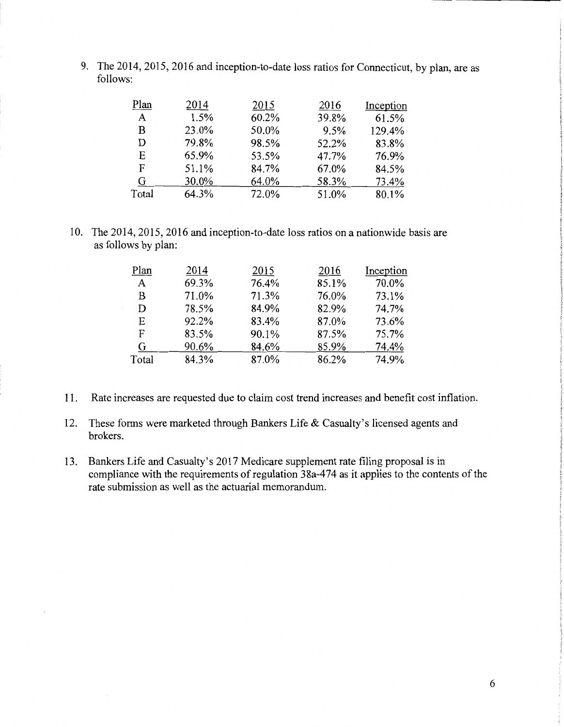9. The 2014,2015, 2016 and inception-to-date loss ratios for Connecticut, by plan, are as follows:

| Plan        | 2014  | 2015  | 2016  | Inception |
|-------------|-------|-------|-------|-----------|
| $\mathbf A$ | 1.5%  | 60.2% | 39.8% | 61.5%     |
| В           | 23.0% | 50.0% | 9.5%  | 129.4%    |
| D           | 79.8% | 98.5% | 52.2% | 83.8%     |
| Е           | 65.9% | 53.5% | 47.7% | 76.9%     |
| F           | 51.1% | 84.7% | 67.0% | 84.5%     |
| G           | 30.0% | 64.0% | 58.3% | 73.4%     |
| Total       | 64.3% | 72.0% | 51.0% | 80.1%     |

10. The 2014, 2015, 2016 and inception-to-date loss ratios on a nationwide basis are as follows by plan:

| Plan  | 2014  | 2015  | 2016  | Inception |
|-------|-------|-------|-------|-----------|
| A     | 69.3% | 76.4% | 85.1% | 70.0%     |
| B     | 71.0% | 71.3% | 76.0% | 73.1%     |
| D     | 78.5% | 84.9% | 82.9% | 74.7%     |
| E     | 92.2% | 83.4% | 87.0% | 73.6%     |
| F     | 83.5% | 90.1% | 87.5% | 75.7%     |
| G     | 90.6% | 84.6% | 85.9% | 74.4%     |
| Total | 84.3% | 87.0% | 86.2% | 74.9%     |

- 11. Rate increases are requested due to claim cost trend increases and benefit cost inflation.
- 12. These forms were marketed through Bankers Life & Casualty's licensed agents and brokers.
- 13. Bankers Life and Casualty's 2017 Medicare supplement rate filing proposal is in compliance with the requirements of regulation 38a-474 as it applies to the contents of the rate submission as well as the actuarial memorandum.